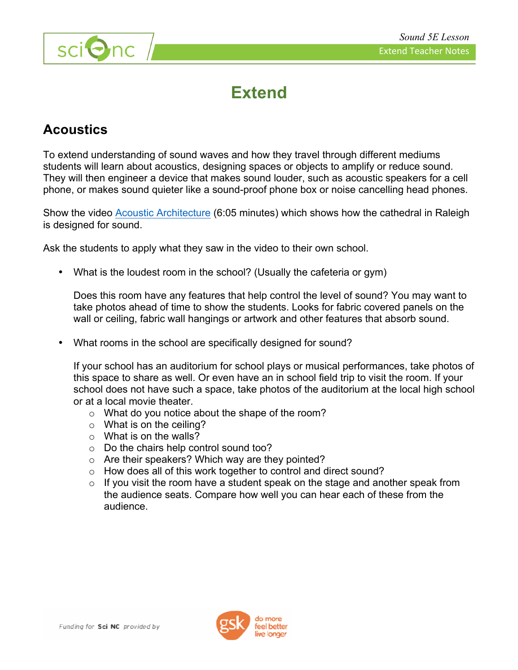

## **Extend**

## **Acoustics**

To extend understanding of sound waves and how they travel through different mediums students will learn about acoustics, designing spaces or objects to amplify or reduce sound. They will then engineer a device that makes sound louder, such as acoustic speakers for a cell phone, or makes sound quieter like a sound-proof phone box or noise cancelling head phones.

Show the video Acoustic Architecture (6:05 minutes) which shows how the cathedral in Raleigh is designed for sound.

Ask the students to apply what they saw in the video to their own school.

• What is the loudest room in the school? (Usually the cafeteria or gym)

Does this room have any features that help control the level of sound? You may want to take photos ahead of time to show the students. Looks for fabric covered panels on the wall or ceiling, fabric wall hangings or artwork and other features that absorb sound.

• What rooms in the school are specifically designed for sound?

If your school has an auditorium for school plays or musical performances, take photos of this space to share as well. Or even have an in school field trip to visit the room. If your school does not have such a space, take photos of the auditorium at the local high school or at a local movie theater.

- o What do you notice about the shape of the room?
- $\circ$  What is on the ceiling?
- $\circ$  What is on the walls?
- o Do the chairs help control sound too?
- o Are their speakers? Which way are they pointed?
- o How does all of this work together to control and direct sound?
- $\circ$  If you visit the room have a student speak on the stage and another speak from the audience seats. Compare how well you can hear each of these from the audience.